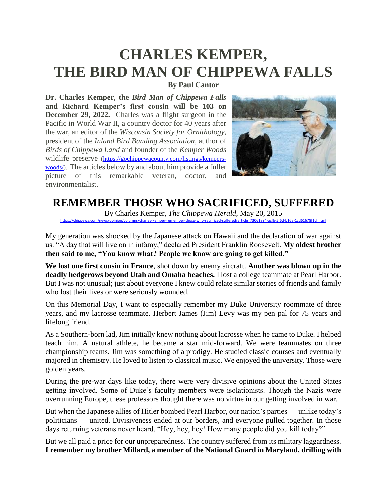## **CHARLES KEMPER, THE BIRD MAN OF CHIPPEWA FALLS**

**By Paul Cantor**

**Dr. Charles Kemper**, **the** *Bird Man of Chippewa Falls* **and Richard Kemper's first cousin will be 103 on December 29, 2022.** Charles was a flight surgeon in the Pacific in World War II, a country doctor for 40 years after the war, an editor of the *Wisconsin Society for Ornithology*, president of the *Inland Bird Banding Association*, author of *Birds of Chippewa Land* and founder of the *Kemper Woods* wildlife preserve [\(https://gochippewacounty.com/listings/kempers](https://gochippewacounty.com/listings/kempers-woods/)[woods/\)](https://gochippewacounty.com/listings/kempers-woods/). The articles below by and about him provide a fuller picture of this remarkable veteran, doctor, and environmentalist.



## **REMEMBER THOSE WHO SACRIFICED, SUFFERED**

By Charles Kemper, *The Chippewa Herald*, May 20, 2015 [https://chippewa.com/news/opinion/columns/charles-kemper-remember-those-who-sacrificed-suffered/article\\_73061894-acfb-5f6d-b16e-1cd61678f1cf.html](https://chippewa.com/news/opinion/columns/charles-kemper-remember-those-who-sacrificed-suffered/article_73061894-acfb-5f6d-b16e-1cd61678f1cf.html)

My generation was shocked by the Japanese attack on Hawaii and the declaration of war against us. "A day that will live on in infamy," declared President Franklin Roosevelt. **My oldest brother then said to me, "You know what? People we know are going to get killed."**

**We lost one first cousin in France**, shot down by enemy aircraft. **Another was blown up in the deadly hedgerows beyond Utah and Omaha beaches.** I lost a college teammate at Pearl Harbor. But I was not unusual; just about everyone I knew could relate similar stories of friends and family who lost their lives or were seriously wounded.

On this Memorial Day, I want to especially remember my Duke University roommate of three years, and my lacrosse teammate. Herbert James (Jim) Levy was my pen pal for 75 years and lifelong friend.

As a Southern-born lad, Jim initially knew nothing about lacrosse when he came to Duke. I helped teach him. A natural athlete, he became a star mid-forward. We were teammates on three championship teams. Jim was something of a prodigy. He studied classic courses and eventually majored in chemistry. He loved to listen to classical music. We enjoyed the university. Those were golden years.

During the pre-war days like today, there were very divisive opinions about the United States getting involved. Some of Duke's faculty members were isolationists. Though the Nazis were overrunning Europe, these professors thought there was no virtue in our getting involved in war.

But when the Japanese allies of Hitler bombed Pearl Harbor, our nation's parties — unlike today's politicians — united. Divisiveness ended at our borders, and everyone pulled together. In those days returning veterans never heard, "Hey, hey, hey! How many people did you kill today?"

But we all paid a price for our unpreparedness. The country suffered from its military laggardness. **I remember my brother Millard, a member of the National Guard in Maryland, drilling with**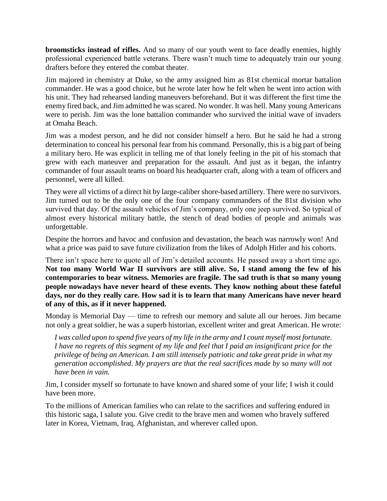**broomsticks instead of rifles.** And so many of our youth went to face deadly enemies, highly professional experienced battle veterans. There wasn't much time to adequately train our young drafters before they entered the combat theater.

Jim majored in chemistry at Duke, so the army assigned him as 81st chemical mortar battalion commander. He was a good choice, but he wrote later how he felt when he went into action with his unit. They had rehearsed landing maneuvers beforehand. But it was different the first time the enemy fired back, and Jim admitted he was scared. No wonder. It was hell. Many young Americans were to perish. Jim was the lone battalion commander who survived the initial wave of invaders at Omaha Beach.

Jim was a modest person, and he did not consider himself a hero. But he said he had a strong determination to conceal his personal fear from his command. Personally, this is a big part of being a military hero. He was explicit in telling me of that lonely feeling in the pit of his stomach that grew with each maneuver and preparation for the assault. And just as it began, the infantry commander of four assault teams on board his headquarter craft, along with a team of officers and personnel, were all killed.

They were all victims of a direct hit by large-caliber shore-based artillery. There were no survivors. Jim turned out to be the only one of the four company commanders of the 81st division who survived that day. Of the assault vehicles of Jim's company, only one jeep survived. So typical of almost every historical military battle, the stench of dead bodies of people and animals was unforgettable.

Despite the horrors and havoc and confusion and devastation, the beach was narrowly won! And what a price was paid to save future civilization from the likes of Adolph Hitler and his cohorts.

There isn't space here to quote all of Jim's detailed accounts. He passed away a short time ago. **Not too many World War II survivors are still alive. So, I stand among the few of his contemporaries to bear witness. Memories are fragile. The sad truth is that so many young people nowadays have never heard of these events. They know nothing about these fateful days, nor do they really care. How sad it is to learn that many Americans have never heard of any of this, as if it never happened.**

Monday is Memorial Day — time to refresh our memory and salute all our heroes. Jim became not only a great soldier, he was a superb historian, excellent writer and great American. He wrote:

*I was called upon to spend five years of my life in the army and I count myself most fortunate. I have no regrets of this segment of my life and feel that I paid an insignificant price for the privilege of being an American. I am still intensely patriotic and take great pride in what my generation accomplished*. *My prayers are that the real sacrifices made by so many will not have been in vain.*

Jim, I consider myself so fortunate to have known and shared some of your life; I wish it could have been more.

To the millions of American families who can relate to the sacrifices and suffering endured in this historic saga, I salute you. Give credit to the brave men and women who bravely suffered later in Korea, Vietnam, Iraq, Afghanistan, and wherever called upon.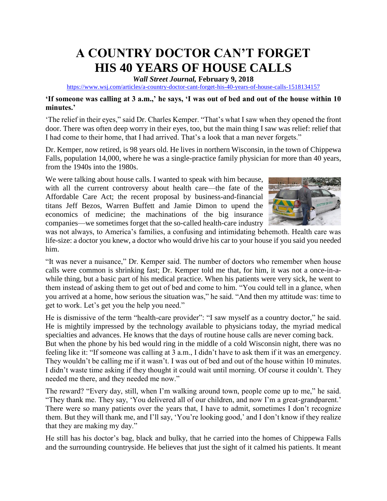## **A COUNTRY DOCTOR CAN'T FORGET HIS 40 YEARS OF HOUSE CALLS**

*Wall Street Journal,* **February 9, 2018**

<https://www.wsj.com/articles/a-country-doctor-cant-forget-his-40-years-of-house-calls-1518134157>

#### **'If someone was calling at 3 a.m.,' he says, 'I was out of bed and out of the house within 10 minutes.'**

'The relief in their eyes," said Dr. Charles Kemper. "That's what I saw when they opened the front door. There was often deep worry in their eyes, too, but the main thing I saw was relief: relief that I had come to their home, that I had arrived. That's a look that a man never forgets."

Dr. Kemper, now retired, is 98 years old. He lives in northern Wisconsin, in the town of Chippewa Falls, population 14,000, where he was a single-practice family physician for more than 40 years, from the 1940s into the 1980s.

We were talking about house calls. I wanted to speak with him because, with all the current controversy about health care—the fate of the Affordable Care Act; the recent proposal by business-and-financial titans Jeff Bezos, Warren Buffett and Jamie Dimon to upend the economics of medicine; the machinations of the big insurance companies—we sometimes forget that the so-called health-care industry



was not always, to America's families, a confusing and intimidating behemoth. Health care was life-size: a doctor you knew, a doctor who would drive his car to your house if you said you needed him.

"It was never a nuisance," Dr. Kemper said. The number of doctors who remember when house calls were common is shrinking fast; Dr. Kemper told me that, for him, it was not a once-in-awhile thing, but a basic part of his medical practice. When his patients were very sick, he went to them instead of asking them to get out of bed and come to him. "You could tell in a glance, when you arrived at a home, how serious the situation was," he said. "And then my attitude was: time to get to work. Let's get you the help you need."

He is dismissive of the term "health-care provider": "I saw myself as a country doctor," he said. He is mightily impressed by the technology available to physicians today, the myriad medical specialties and advances. He knows that the days of routine house calls are never coming back.

But when the phone by his bed would ring in the middle of a cold Wisconsin night, there was no feeling like it: "If someone was calling at 3 a.m., I didn't have to ask them if it was an emergency. They wouldn't be calling me if it wasn't. I was out of bed and out of the house within 10 minutes. I didn't waste time asking if they thought it could wait until morning. Of course it couldn't. They needed me there, and they needed me now."

The reward? "Every day, still, when I'm walking around town, people come up to me," he said. "They thank me. They say, 'You delivered all of our children, and now I'm a great-grandparent.' There were so many patients over the years that, I have to admit, sometimes I don't recognize them. But they will thank me, and I'll say, 'You're looking good,' and I don't know if they realize that they are making my day."

He still has his doctor's bag, black and bulky, that he carried into the homes of Chippewa Falls and the surrounding countryside. He believes that just the sight of it calmed his patients. It meant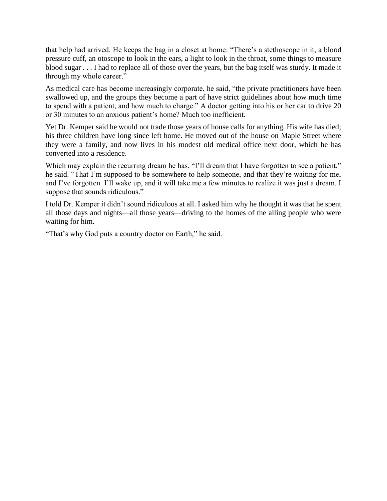that help had arrived. He keeps the bag in a closet at home: "There's a stethoscope in it, a blood pressure cuff, an otoscope to look in the ears, a light to look in the throat, some things to measure blood sugar . . . I had to replace all of those over the years, but the bag itself was sturdy. It made it through my whole career."

As medical care has become increasingly corporate, he said, "the private practitioners have been swallowed up, and the groups they become a part of have strict guidelines about how much time to spend with a patient, and how much to charge." A doctor getting into his or her car to drive 20 or 30 minutes to an anxious patient's home? Much too inefficient.

Yet Dr. Kemper said he would not trade those years of house calls for anything. His wife has died; his three children have long since left home. He moved out of the house on Maple Street where they were a family, and now lives in his modest old medical office next door, which he has converted into a residence.

Which may explain the recurring dream he has. "I'll dream that I have forgotten to see a patient," he said. "That I'm supposed to be somewhere to help someone, and that they're waiting for me, and I've forgotten. I'll wake up, and it will take me a few minutes to realize it was just a dream. I suppose that sounds ridiculous."

I told Dr. Kemper it didn't sound ridiculous at all. I asked him why he thought it was that he spent all those days and nights—all those years—driving to the homes of the ailing people who were waiting for him.

"That's why God puts a country doctor on Earth," he said.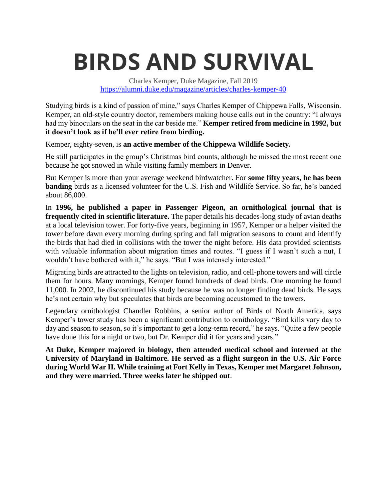# **BIRDS AND SURVIVAL**

Charles Kemper, Duke Magazine, Fall 2019 <https://alumni.duke.edu/magazine/articles/charles-kemper-40>

Studying birds is a kind of passion of mine," says Charles Kemper of Chippewa Falls, Wisconsin. Kemper, an old-style country doctor, remembers making house calls out in the country: "I always had my binoculars on the seat in the car beside me." **Kemper retired from medicine in 1992, but it doesn't look as if he'll ever retire from birding.**

Kemper, eighty-seven, is **an active member of the Chippewa Wildlife Society.** 

He still participates in the group's Christmas bird counts, although he missed the most recent one because he got snowed in while visiting family members in Denver.

But Kemper is more than your average weekend birdwatcher. For **some fifty years, he has been banding** birds as a licensed volunteer for the U.S. Fish and Wildlife Service. So far, he's banded about 86,000.

In **1996, he published a paper in Passenger Pigeon, an ornithological journal that is frequently cited in scientific literature.** The paper details his decades-long study of avian deaths at a local television tower. For forty-five years, beginning in 1957, Kemper or a helper visited the tower before dawn every morning during spring and fall migration seasons to count and identify the birds that had died in collisions with the tower the night before. His data provided scientists with valuable information about migration times and routes. "I guess if I wasn't such a nut, I wouldn't have bothered with it," he says. "But I was intensely interested."

Migrating birds are attracted to the lights on television, radio, and cell-phone towers and will circle them for hours. Many mornings, Kemper found hundreds of dead birds. One morning he found 11,000. In 2002, he discontinued his study because he was no longer finding dead birds. He says he's not certain why but speculates that birds are becoming accustomed to the towers.

Legendary ornithologist Chandler Robbins, a senior author of Birds of North America, says Kemper's tower study has been a significant contribution to ornithology. "Bird kills vary day to day and season to season, so it's important to get a long-term record," he says. "Quite a few people have done this for a night or two, but Dr. Kemper did it for years and years."

**At Duke, Kemper majored in biology, then attended medical school and interned at the University of Maryland in Baltimore. He served as a flight surgeon in the U.S. Air Force during World War II. While training at Fort Kelly in Texas, Kemper met Margaret Johnson, and they were married. Three weeks later he shipped out**.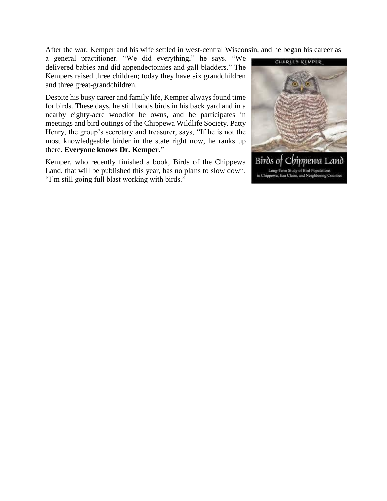After the war, Kemper and his wife settled in west-central Wisconsin, and he began his career as

a general practitioner. "We did everything," he says. "We delivered babies and did appendectomies and gall bladders." The Kempers raised three children; today they have six grandchildren and three great-grandchildren.

Despite his busy career and family life, Kemper always found time for birds. These days, he still bands birds in his back yard and in a nearby eighty-acre woodlot he owns, and he participates in meetings and bird outings of the Chippewa Wildlife Society. Patty Henry, the group's secretary and treasurer, says, "If he is not the most knowledgeable birder in the state right now, he ranks up there. **Everyone knows Dr. Kemper**."

Kemper, who recently finished a book, Birds of the Chippewa Land, that will be published this year, has no plans to slow down. "I'm still going full blast working with birds."

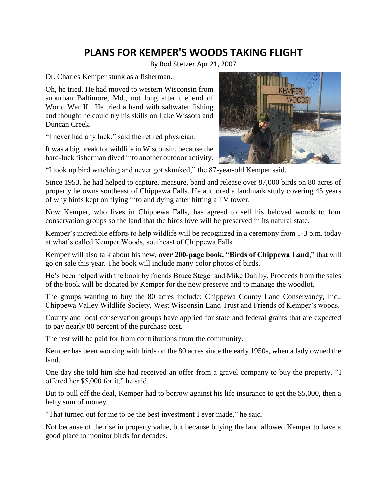### **PLANS FOR KEMPER'S WOODS TAKING FLIGHT**

By Rod Stetzer Apr 21, 2007

Dr. Charles Kemper stunk as a fisherman.

Oh, he tried. He had moved to western Wisconsin from suburban Baltimore, Md., not long after the end of World War II. He tried a hand with saltwater fishing and thought he could try his skills on Lake Wissota and Duncan Creek.

"I never had any luck," said the retired physician.

It was a big break for wildlife in Wisconsin, because the hard-luck fisherman dived into another outdoor activity.



"I took up bird watching and never got skunked," the 87-year-old Kemper said.

Since 1953, he had helped to capture, measure, band and release over 87,000 birds on 80 acres of property he owns southeast of Chippewa Falls. He authored a landmark study covering 45 years of why birds kept on flying into and dying after hitting a TV tower.

Now Kemper, who lives in Chippewa Falls, has agreed to sell his beloved woods to four conservation groups so the land that the birds love will be preserved in its natural state.

Kemper's incredible efforts to help wildlife will be recognized in a ceremony from 1-3 p.m. today at what's called Kemper Woods, southeast of Chippewa Falls.

Kemper will also talk about his new, **over 200-page book, "Birds of Chippewa Land**," that will go on sale this year. The book will include many color photos of birds.

He's been helped with the book by friends Bruce Steger and Mike Dahlby. Proceeds from the sales of the book will be donated by Kemper for the new preserve and to manage the woodlot.

The groups wanting to buy the 80 acres include: Chippewa County Land Conservancy, Inc., Chippewa Valley Wildlife Society, West Wisconsin Land Trust and Friends of Kemper's woods.

County and local conservation groups have applied for state and federal grants that are expected to pay nearly 80 percent of the purchase cost.

The rest will be paid for from contributions from the community.

Kemper has been working with birds on the 80 acres since the early 1950s, when a lady owned the land.

One day she told him she had received an offer from a gravel company to buy the property. "I offered her \$5,000 for it," he said.

But to pull off the deal, Kemper had to borrow against his life insurance to get the \$5,000, then a hefty sum of money.

"That turned out for me to be the best investment I ever made," he said.

Not because of the rise in property value, but because buying the land allowed Kemper to have a good place to monitor birds for decades.